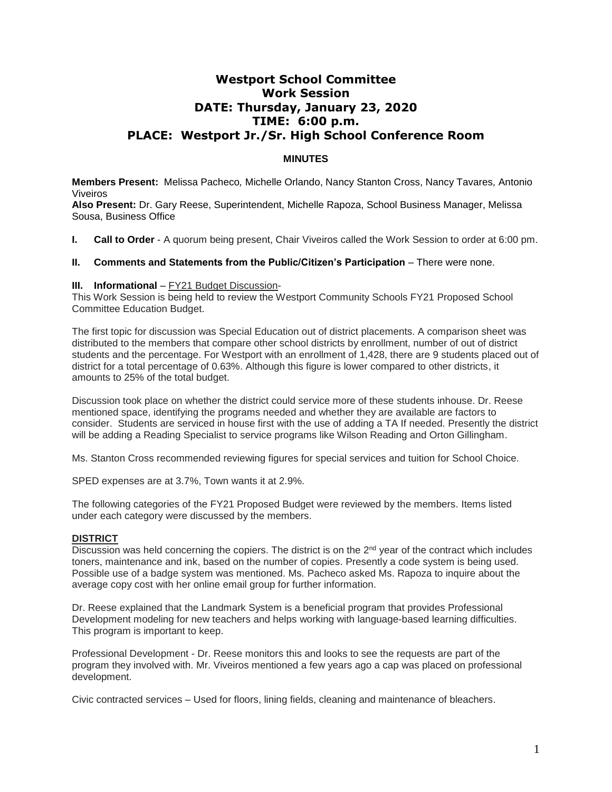# **Westport School Committee Work Session DATE: Thursday, January 23, 2020 TIME: 6:00 p.m. PLACE: Westport Jr./Sr. High School Conference Room**

## **MINUTES**

**Members Present:** Melissa Pacheco*,* Michelle Orlando, Nancy Stanton Cross, Nancy Tavares*,* Antonio Viveiros

**Also Present:** Dr. Gary Reese, Superintendent, Michelle Rapoza, School Business Manager, Melissa Sousa, Business Office

**I. Call to Order** - A quorum being present, Chair Viveiros called the Work Session to order at 6:00 pm.

### **II. Comments and Statements from the Public/Citizen's Participation** – There were none.

#### **III.** Informational - FY21 Budget Discussion-

This Work Session is being held to review the Westport Community Schools FY21 Proposed School Committee Education Budget.

The first topic for discussion was Special Education out of district placements. A comparison sheet was distributed to the members that compare other school districts by enrollment, number of out of district students and the percentage. For Westport with an enrollment of 1,428, there are 9 students placed out of district for a total percentage of 0.63%. Although this figure is lower compared to other districts, it amounts to 25% of the total budget.

Discussion took place on whether the district could service more of these students inhouse. Dr. Reese mentioned space, identifying the programs needed and whether they are available are factors to consider. Students are serviced in house first with the use of adding a TA If needed. Presently the district will be adding a Reading Specialist to service programs like Wilson Reading and Orton Gillingham.

Ms. Stanton Cross recommended reviewing figures for special services and tuition for School Choice.

SPED expenses are at 3.7%, Town wants it at 2.9%.

The following categories of the FY21 Proposed Budget were reviewed by the members. Items listed under each category were discussed by the members.

### **DISTRICT**

Discussion was held concerning the copiers. The district is on the  $2<sup>nd</sup>$  year of the contract which includes toners, maintenance and ink, based on the number of copies. Presently a code system is being used. Possible use of a badge system was mentioned. Ms. Pacheco asked Ms. Rapoza to inquire about the average copy cost with her online email group for further information.

Dr. Reese explained that the Landmark System is a beneficial program that provides Professional Development modeling for new teachers and helps working with language-based learning difficulties. This program is important to keep.

Professional Development - Dr. Reese monitors this and looks to see the requests are part of the program they involved with. Mr. Viveiros mentioned a few years ago a cap was placed on professional development.

Civic contracted services – Used for floors, lining fields, cleaning and maintenance of bleachers.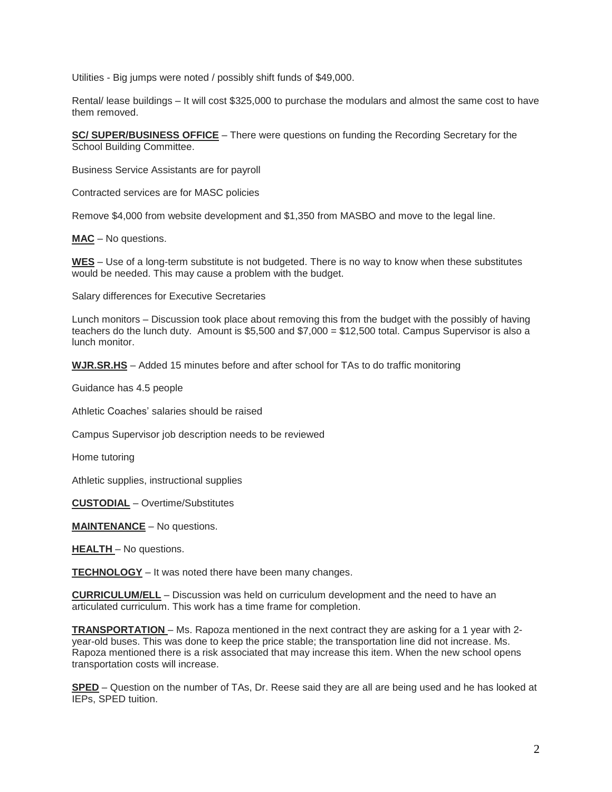Utilities - Big jumps were noted / possibly shift funds of \$49,000.

Rental/ lease buildings – It will cost \$325,000 to purchase the modulars and almost the same cost to have them removed.

**SC/ SUPER/BUSINESS OFFICE** – There were questions on funding the Recording Secretary for the School Building Committee.

Business Service Assistants are for payroll

Contracted services are for MASC policies

Remove \$4,000 from website development and \$1,350 from MASBO and move to the legal line.

**MAC** – No questions.

**WES** – Use of a long-term substitute is not budgeted. There is no way to know when these substitutes would be needed. This may cause a problem with the budget.

Salary differences for Executive Secretaries

Lunch monitors – Discussion took place about removing this from the budget with the possibly of having teachers do the lunch duty. Amount is \$5,500 and \$7,000 = \$12,500 total. Campus Supervisor is also a lunch monitor.

**WJR.SR.HS** – Added 15 minutes before and after school for TAs to do traffic monitoring

Guidance has 4.5 people

Athletic Coaches' salaries should be raised

Campus Supervisor job description needs to be reviewed

Home tutoring

Athletic supplies, instructional supplies

**CUSTODIAL** – Overtime/Substitutes

**MAINTENANCE** – No questions.

**HEALTH** – No questions.

**TECHNOLOGY** – It was noted there have been many changes.

**CURRICULUM/ELL** – Discussion was held on curriculum development and the need to have an articulated curriculum. This work has a time frame for completion.

**TRANSPORTATION** – Ms. Rapoza mentioned in the next contract they are asking for a 1 year with 2 year-old buses. This was done to keep the price stable; the transportation line did not increase. Ms. Rapoza mentioned there is a risk associated that may increase this item. When the new school opens transportation costs will increase.

**SPED** – Question on the number of TAs, Dr. Reese said they are all are being used and he has looked at IEPs, SPED tuition.